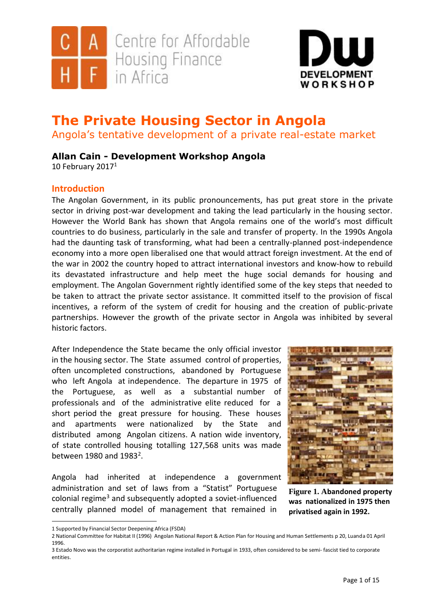



# **The Private Housing Sector in Angola**

Angola's tentative development of a private real-estate market

# **Allan Cain - Development Workshop Angola**

10 February 2017<sup>1</sup>

# **Introduction**

The Angolan Government, in its public pronouncements, has put great store in the private sector in driving post-war development and taking the lead particularly in the housing sector. However the World Bank has shown that Angola remains one of the world's most difficult countries to do business, particularly in the sale and transfer of property. In the 1990s Angola had the daunting task of transforming, what had been a centrally-planned post-independence economy into a more open liberalised one that would attract foreign investment. At the end of the war in 2002 the country hoped to attract international investors and know-how to rebuild its devastated infrastructure and help meet the huge social demands for housing and employment. The Angolan Government rightly identified some of the key steps that needed to be taken to attract the private sector assistance. It committed itself to the provision of fiscal incentives, a reform of the system of credit for housing and the creation of public-private partnerships. However the growth of the private sector in Angola was inhibited by several historic factors.

After Independence the State became the only official investor in the housing sector. The State assumed control of properties, often uncompleted constructions, abandoned by Portuguese who left Angola at independence. The departure in 1975 of the Portuguese, as well as a substantial number of professionals and of the administrative elite reduced for a short period the great pressure for housing. These houses and apartments were nationalized by the State and distributed among Angolan citizens. A nation wide inventory, of state controlled housing totalling 127,568 units was made between 1980 and  $1983^2$ .

Angola had inherited at independence a government administration and set of laws from a "Statist" Portuguese colonial regime<sup>3</sup> and subsequently adopted a soviet-influenced centrally planned model of management that remained in



**Figure 1. Abandoned property was nationalized in 1975 then privatised again in 1992.**

<sup>1</sup> Supported by Financial Sector Deepening Africa (FSDA)

<sup>2</sup> National Committee for Habitat II (1996) Angolan National Report & Action Plan for Housing and Human Settlements p 20, Luanda 01 April 1996.

<sup>3</sup> Estado Novo was the corporatist authoritarian regime installed in Portugal in 1933, often considered to be semi- fascist tied to corporate entities.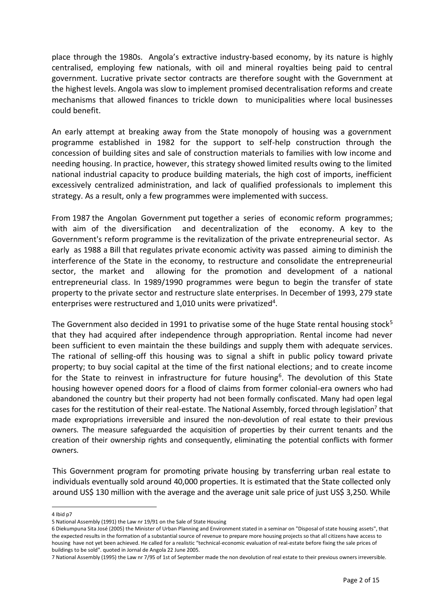place through the 1980s. Angola's extractive industry-based economy, by its nature is highly centralised, employing few nationals, with oil and mineral royalties being paid to central government. Lucrative private sector contracts are therefore sought with the Government at the highest levels. Angola was slow to implement promised decentralisation reforms and create mechanisms that allowed finances to trickle down to municipalities where local businesses could benefit.

An early attempt at breaking away from the State monopoly of housing was a government programme established in 1982 for the support to self-help construction through the concession of building sites and sale of construction materials to families with low income and needing housing. In practice, however, this strategy showed limited results owing to the limited national industrial capacity to produce building materials, the high cost of imports, inefficient excessively centralized administration, and lack of qualified professionals to implement this strategy. As a result, only a few programmes were implemented with success.

From 1987 the Angolan Government put together a series of economic reform programmes; with aim of the diversification and decentralization of the economy. A key to the Government's reform programme is the revitalization of the private entrepreneurial sector. As early as 1988 a Bill that regulates private economic activity was passed aiming to diminish the interference of the State in the economy, to restructure and consolidate the entrepreneurial sector, the market and allowing for the promotion and development of a national entrepreneurial class. In 1989/1990 programmes were begun to begin the transfer of state property to the private sector and restructure slate enterprises. In December of 1993, 279 state enterprises were restructured and 1,010 units were privatized<sup>4</sup>.

The Government also decided in 1991 to privatise some of the huge State rental housing stock<sup>5</sup> that they had acquired after independence through appropriation. Rental income had never been sufficient to even maintain the these buildings and supply them with adequate services. The rational of selling-off this housing was to signal a shift in public policy toward private property; to buy social capital at the time of the first national elections; and to create income for the State to reinvest in infrastructure for future housing<sup>6</sup>. The devolution of this State housing however opened doors for a flood of claims from former colonial-era owners who had abandoned the country but their property had not been formally confiscated. Many had open legal cases for the restitution of their real-estate. The National Assembly, forced through legislation<sup>7</sup> that made expropriations irreversible and insured the non-devolution of real estate to their previous owners. The measure safeguarded the acquisition of properties by their current tenants and the creation of their ownership rights and consequently, eliminating the potential conflicts with former owners.

This Government program for promoting private housing by transferring urban real estate to individuals eventually sold around 40,000 properties. It is estimated that the State collected only around US\$ 130 million with the average and the average unit sale price of just US\$ 3,250. While

<sup>4</sup> Ibid p7

<sup>5</sup> National Assembly (1991) the Law nr 19/91 on the Sale of State Housing

<sup>6</sup> Diekumpuna Sita José (2005) the Minister of Urban Planning and Environment stated in a seminar on "Disposal of state housing assets", that the expected results in the formation of a substantial source of revenue to prepare more housing projects so that all citizens have access to housing have not yet been achieved. He called for a realistic "technical-economic evaluation of real-estate before fixing the sale prices of buildings to be sold". quoted in Jornal de Angola 22 June 2005.

<sup>7</sup> National Assembly (1995) the Law nr 7/95 of 1st of September made the non devolution of real estate to their previous owners irreversible.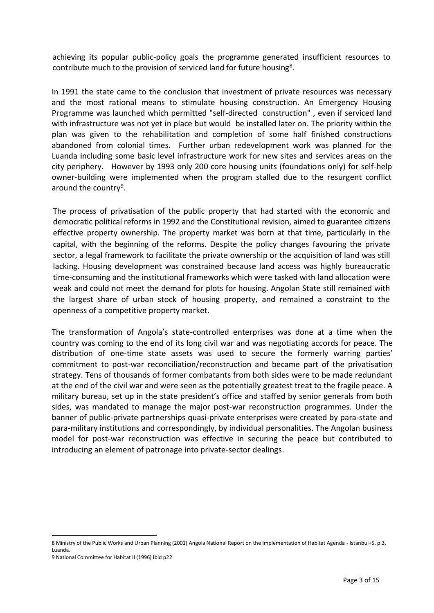achieving its popular public-policy goals the programme generated insufficient resources to contribute much to the provision of serviced land for future housing<sup>8</sup>.

In 1991 the state came to the conclusion that investment of private resources was necessary and the most rational means to stimulate housing construction. An Emergency Housing Programme was launched which permitted "self-directed construction" , even if serviced land with infrastructure was not yet in place but would be installed later on. The priority within the plan was given to the rehabilitation and completion of some half finished constructions abandoned from colonial times. Further urban redevelopment work was planned for the Luanda including some basic level infrastructure work for new sites and services areas on the city periphery. However by 1993 only 200 core housing units (foundations only) for self-help owner-building were implemented when the program stalled due to the resurgent conflict around the country<sup>9</sup>.

The process of privatisation of the public property that had started with the economic and democratic political reforms in 1992 and the Constitutional revision, aimed to guarantee citizens effective property ownership. The property market was born at that time, particularly in the capital, with the beginning of the reforms. Despite the policy changes favouring the private sector, a legal framework to facilitate the private ownership or the acquisition of land was still lacking. Housing development was constrained because land access was highly bureaucratic time-consuming and the institutional frameworks which were tasked with land allocation were weak and could not meet the demand for plots for housing. Angolan State still remained with the largest share of urban stock of housing property, and remained a constraint to the openness of a competitive property market.

The transformation of Angola's state-controlled enterprises was done at a time when the country was coming to the end of its long civil war and was negotiating accords for peace. The distribution of one-time state assets was used to secure the formerly warring parties' commitment to post-war reconciliation/reconstruction and became part of the privatisation strategy. Tens of thousands of former combatants from both sides were to be made redundant at the end of the civil war and were seen as the potentially greatest treat to the fragile peace. A military bureau, set up in the state president's office and staffed by senior generals from both sides, was mandated to manage the major post-war reconstruction programmes. Under the banner of public-private partnerships quasi-private enterprises were created by para-state and para-military institutions and correspondingly, by individual personalities. The Angolan business model for post-war reconstruction was effective in securing the peace but contributed to introducing an element of patronage into private-sector dealings.

<sup>8</sup> Ministry of the Public Works and Urban Planning (2001) Angola National Report on the Implementation of Habitat Agenda - Istanbul+5, p.3, Luanda.

<sup>9</sup> National Committee for Habitat II (1996) Ibid p22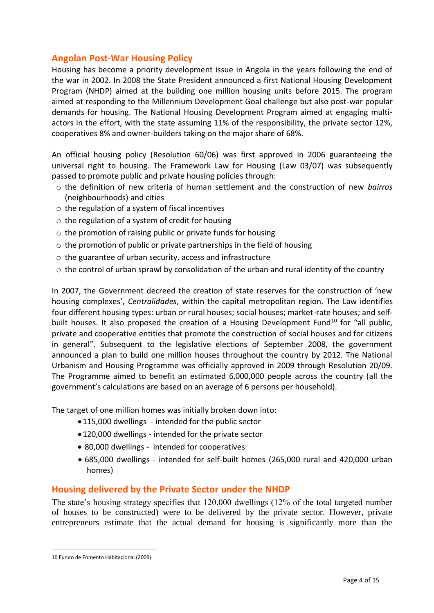## **Angolan Post-War Housing Policy**

Housing has become a priority development issue in Angola in the years following the end of the war in 2002. In 2008 the State President announced a first National Housing Development Program (NHDP) aimed at the building one million housing units before 2015. The program aimed at responding to the Millennium Development Goal challenge but also post-war popular demands for housing. The National Housing Development Program aimed at engaging multiactors in the effort, with the state assuming 11% of the responsibility, the private sector 12%, cooperatives 8% and owner-builders taking on the major share of 68%.

An official housing policy (Resolution 60/06) was first approved in 2006 guaranteeing the universal right to housing. The Framework Law for Housing (Law 03/07) was subsequently passed to promote public and private housing policies through:

- o the definition of new criteria of human settlement and the construction of new *bairros*  (neighbourhoods) and cities
- o the regulation of a system of fiscal incentives
- o the regulation of a system of credit for housing
- o the promotion of raising public or private funds for housing
- $\circ$  the promotion of public or private partnerships in the field of housing
- o the guarantee of urban security, access and infrastructure
- $\circ$  the control of urban sprawl by consolidation of the urban and rural identity of the country

In 2007, the Government decreed the creation of state reserves for the construction of 'new housing complexes', *Centralidades*, within the capital metropolitan region. The Law identifies four different housing types: urban or rural houses; social houses; market-rate houses; and selfbuilt houses. It also proposed the creation of a Housing Development Fund<sup>10</sup> for "all public, private and cooperative entities that promote the construction of social houses and for citizens in general". Subsequent to the legislative elections of September 2008, the government announced a plan to build one million houses throughout the country by 2012. The National Urbanism and Housing Programme was officially approved in 2009 through Resolution 20/09. The Programme aimed to benefit an estimated 6,000,000 people across the country (all the government's calculations are based on an average of 6 persons per household).

The target of one million homes was initially broken down into:

- •115,000 dwellings intended for the public sector
- •120,000 dwellings intended for the private sector
- 80,000 dwellings intended for cooperatives
- 685,000 dwellings intended for self-built homes (265,000 rural and 420,000 urban homes)

## **Housing delivered by the Private Sector under the NHDP**

The state's housing strategy specifies that 120,000 dwellings (12% of the total targeted number of houses to be constructed) were to be delivered by the private sector. However, private entrepreneurs estimate that the actual demand for housing is significantly more than the

 $\overline{a}$ 10 Fundo de Fomento Habitacional (2009)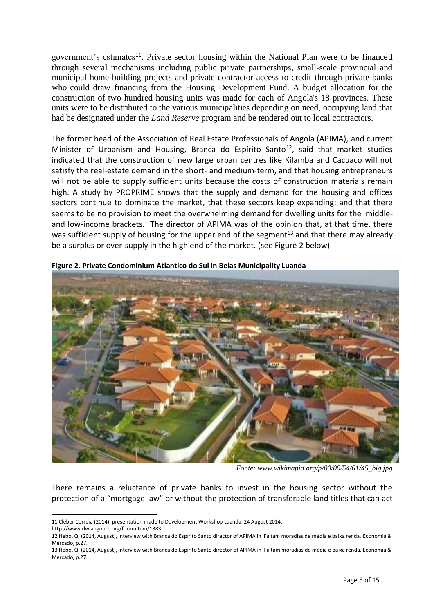government's estimates<sup>11</sup>. Private sector housing within the National Plan were to be financed through several mechanisms including public private partnerships, small-scale provincial and municipal home building projects and private contractor access to credit through private banks who could draw financing from the Housing Development Fund. A budget allocation for the construction of two hundred housing units was made for each of Angola's 18 provinces. These units were to be distributed to the various municipalities depending on need, occupying land that had be designated under the *Land Reserve* program and be tendered out to local contractors.

The former head of the Association of Real Estate Professionals of Angola (APIMA), and current Minister of Urbanism and Housing, Branca do Espírito Santo<sup>12</sup>, said that market studies indicated that the construction of new large urban centres like Kilamba and Cacuaco will not satisfy the real-estate demand in the short- and medium-term, and that housing entrepreneurs will not be able to supply sufficient units because the costs of construction materials remain high. A study by PROPRIME shows that the supply and demand for the housing and offices sectors continue to dominate the market, that these sectors keep expanding; and that there seems to be no provision to meet the overwhelming demand for dwelling units for the middleand low-income brackets. The director of APIMA was of the opinion that, at that time, there was sufficient supply of housing for the upper end of the segment<sup>13</sup> and that there may already be a surplus or over-supply in the high end of the market. (see Figure 2 below)



**Figure 2. Private Condominium Atlantico do Sul in Belas Municipality Luanda**

*Fonte: www.wikimapia.org/p/00/00/54/61/45\_big.jpg*

There remains a reluctance of private banks to invest in the housing sector without the protection of a "mortgage law" or without the protection of transferable land titles that can act

<sup>11</sup> Cleber Correia (2014), presentation made to Development Workshop Luanda, 24 August 2014,

<http://www.dw.angonet.org/forumitem/1383>

<sup>12</sup> Hebo, Q. (2014, August), interview with Branca do Espírito Santo director of APIMA in Faltam moradias de média e baixa renda. Economia & Mercado, p.27.

<sup>13</sup> Hebo, Q. (2014, August), interview with Branca do Espírito Santo director of APIMA in Faltam moradias de média e baixa renda. Economia & Mercado, p.27.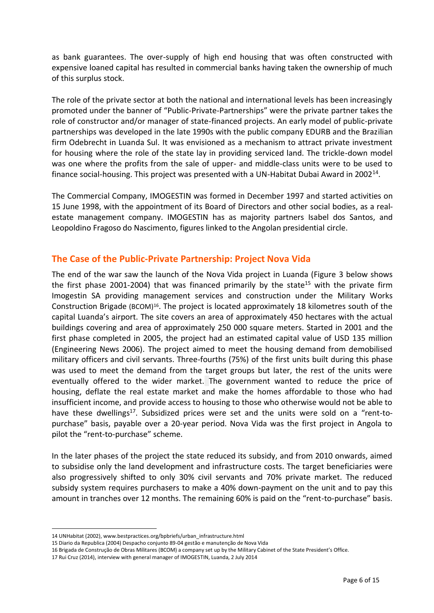as bank guarantees. The over-supply of high end housing that was often constructed with expensive loaned capital has resulted in commercial banks having taken the ownership of much of this surplus stock.

The role of the private sector at both the national and international levels has been increasingly promoted under the banner of "Public-Private-Partnerships" were the private partner takes the role of constructor and/or manager of state-financed projects. An early model of public-private partnerships was developed in the late 1990s with the public company EDURB and the Brazilian firm Odebrecht in Luanda Sul. It was envisioned as a mechanism to attract private investment for housing where the role of the state lay in providing serviced land. The trickle-down model was one where the profits from the sale of upper- and middle-class units were to be used to finance social-housing. This project was presented with a UN-Habitat Dubai Award in 2002<sup>14</sup>.

The Commercial Company, IMOGESTIN was formed in December 1997 and started activities on 15 June 1998, with the appointment of its Board of Directors and other social bodies, as a realestate management company. IMOGESTIN has as majority partners Isabel dos Santos, and Leopoldino Fragoso do Nascimento, figures linked to the Angolan presidential circle.

# **The Case of the Public-Private Partnership: Project Nova Vida**

The end of the war saw the launch of the Nova Vida project in Luanda (Figure 3 below shows the first phase 2001-2004) that was financed primarily by the state<sup>15</sup> with the private firm Imogestin SA providing management services and construction under the Military Works Construction Brigade (BCOM)<sup>16</sup>. The project is located approximately 18 kilometres south of the capital Luanda's airport. The site covers an area of approximately 450 hectares with the actual buildings covering and area of approximately 250 000 square meters. Started in 2001 and the first phase completed in 2005, the project had an estimated capital value of USD 135 million (Engineering News 2006). The project aimed to meet the housing demand from demobilised military officers and civil servants. Three-fourths (75%) of the first units built during this phase was used to meet the demand from the target groups but later, the rest of the units were eventually offered to the wider market. The government wanted to reduce the price of housing, deflate the real estate market and make the homes affordable to those who had insufficient income, and provide access to housing to those who otherwise would not be able to have these dwellings<sup>17</sup>. Subsidized prices were set and the units were sold on a "rent-topurchase" basis, payable over a 20-year period. Nova Vida was the first project in Angola to pilot the "rent-to-purchase" scheme.

In the later phases of the project the state reduced its subsidy, and from 2010 onwards, aimed to subsidise only the land development and infrastructure costs. The target beneficiaries were also progressively shifted to only 30% civil servants and 70% private market. The reduced subsidy system requires purchasers to make a 40% down-payment on the unit and to pay this amount in tranches over 12 months. The remaining 60% is paid on the "rent-to-purchase" basis.

<sup>14</sup> UNHabitat (2002), [www.bestpractices.org/bpbriefs/urban\\_infrastructure.html](http://www.bestpractices.org/bpbriefs/urban_infrastructure.html)

<sup>15</sup> Diario da Republica (2004) Despacho conjunto 89-04 gestão e manutenção de Nova Vida

<sup>16</sup> Brigada de Construção de Obras Militares (BCOM) a company set up by the Military Cabinet of the State President's Office.

<sup>17</sup> Rui Cruz (2014), interview with general manager of IMOGESTIN, Luanda, 2 July 2014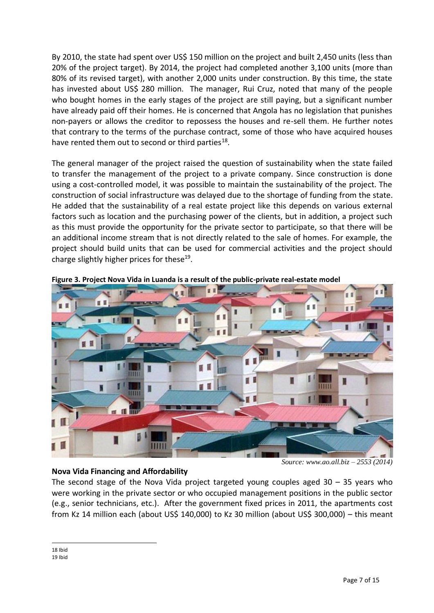By 2010, the state had spent over US\$ 150 million on the project and built 2,450 units (less than 20% of the project target). By 2014, the project had completed another 3,100 units (more than 80% of its revised target), with another 2,000 units under construction. By this time, the state has invested about US\$ 280 million. The manager, Rui Cruz, noted that many of the people who bought homes in the early stages of the project are still paying, but a significant number have already paid off their homes. He is concerned that Angola has no legislation that punishes non-payers or allows the creditor to repossess the houses and re-sell them. He further notes that contrary to the terms of the purchase contract, some of those who have acquired houses have rented them out to second or third parties<sup>18</sup>.

The general manager of the project raised the question of sustainability when the state failed to transfer the management of the project to a private company. Since construction is done using a cost-controlled model, it was possible to maintain the sustainability of the project. The construction of social infrastructure was delayed due to the shortage of funding from the state. He added that the sustainability of a real estate project like this depends on various external factors such as location and the purchasing power of the clients, but in addition, a project such as this must provide the opportunity for the private sector to participate, so that there will be an additional income stream that is not directly related to the sale of homes. For example, the project should build units that can be used for commercial activities and the project should charge slightly higher prices for these<sup>19</sup>.



**Figure 3. Project Nova Vida in Luanda is a result of the public-private real-estate model**

## **Nova Vida Financing and Affordability**

*Source: www.ao.all.biz – 2553 (2014)*

The second stage of the Nova Vida project targeted young couples aged  $30 - 35$  years who were working in the private sector or who occupied management positions in the public sector (e.g., senior technicians, etc.). After the government fixed prices in 2011, the apartments cost from Kz 14 million each (about US\$ 140,000) to Kz 30 million (about US\$ 300,000) – this meant

 $\overline{a}$ 18 Ibid 19 Ibid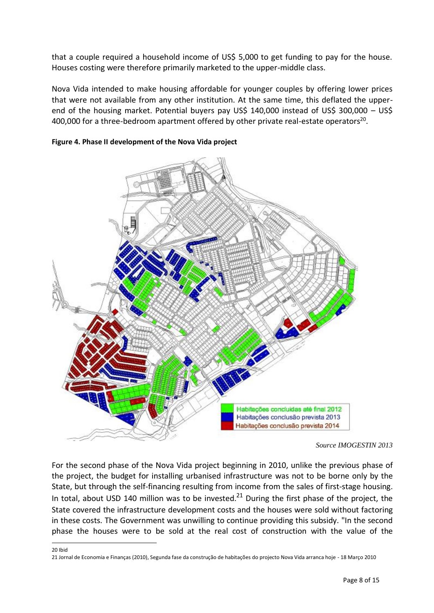that a couple required a household income of US\$ 5,000 to get funding to pay for the house. Houses costing were therefore primarily marketed to the upper-middle class.

Nova Vida intended to make housing affordable for younger couples by offering lower prices that were not available from any other institution. At the same time, this deflated the upperend of the housing market. Potential buyers pay US\$ 140,000 instead of US\$ 300,000 – US\$  $400,000$  for a three-bedroom apartment offered by other private real-estate operators<sup>20</sup>.



**Figure 4. Phase II development of the Nova Vida project**

For the second phase of the Nova Vida project beginning in 2010, unlike the previous phase of the project, the budget for installing urbanised infrastructure was not to be borne only by the State, but through the self-financing resulting from income from the sales of first-stage housing. In total, about USD 140 million was to be invested.<sup>21</sup> During the first phase of the project, the State covered the infrastructure development costs and the houses were sold without factoring in these costs. The Government was unwilling to continue providing this subsidy. "In the second phase the houses were to be sold at the real cost of construction with the value of the

 $\overline{a}$ 20 Ibid

*Source IMOGESTIN 2013*

<sup>21</sup> Jornal de Economia e Finanças (2010), Segunda fase da construção de habitações do projecto Nova Vida arranca hoje - 18 Março 2010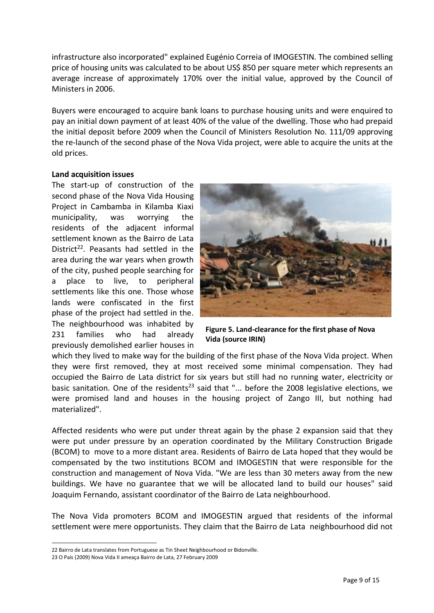infrastructure also incorporated" explained Eugénio Correia of IMOGESTIN. The combined selling price of housing units was calculated to be about US\$ 850 per square meter which represents an average increase of approximately 170% over the initial value, approved by the Council of Ministers in 2006.

Buyers were encouraged to acquire bank loans to purchase housing units and were enquired to pay an initial down payment of at least 40% of the value of the dwelling. Those who had prepaid the initial deposit before 2009 when the Council of Ministers Resolution No. 111/09 approving the re-launch of the second phase of the Nova Vida project, were able to acquire the units at the old prices.

#### **Land acquisition issues**

The start-up of construction of the second phase of the Nova Vida Housing Project in Cambamba in Kilamba Kiaxi municipality, was worrying the residents of the adjacent informal settlement known as the Bairro de Lata District<sup>22</sup>. Peasants had settled in the area during the war years when growth of the city, pushed people searching for a place to live, to peripheral settlements like this one. Those whose lands were confiscated in the first phase of the project had settled in the. The neighbourhood was inhabited by 231 families who had already previously demolished earlier houses in



**Figure 5. Land-clearance for the first phase of Nova Vida (source IRIN)**

which they lived to make way for the building of the first phase of the Nova Vida project. When they were first removed, they at most received some minimal compensation. They had occupied the Bairro de Lata district for six years but still had no running water, electricity or basic sanitation. One of the residents<sup>23</sup> said that "... before the 2008 legislative elections, we were promised land and houses in the housing project of Zango III, but nothing had materialized".

Affected residents who were put under threat again by the phase 2 expansion said that they were put under pressure by an operation coordinated by the Military Construction Brigade (BCOM) to move to a more distant area. Residents of Bairro de Lata hoped that they would be compensated by the two institutions BCOM and IMOGESTIN that were responsible for the construction and management of Nova Vida. "We are less than 30 meters away from the new buildings. We have no guarantee that we will be allocated land to build our houses" said Joaquim Fernando, assistant coordinator of the Bairro de Lata neighbourhood.

The Nova Vida promoters BCOM and IMOGESTIN argued that residents of the informal settlement were mere opportunists. They claim that the Bairro de Lata neighbourhood did not

<sup>22</sup> Bairro de Lata translates from Portuguese as Tin Sheet Neighbourhood or Bidonville.

<sup>23</sup> O País (2009) Nova Vida II ameaça Bairro de Lata, 27 February 2009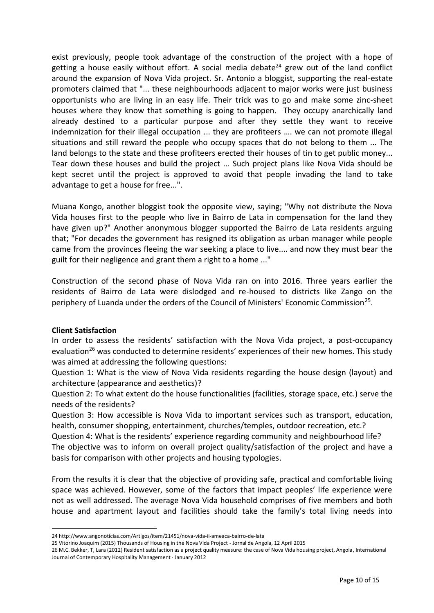exist previously, people took advantage of the construction of the project with a hope of getting a house easily without effort. A social media debate<sup>24</sup> grew out of the land conflict around the expansion of Nova Vida project. Sr. Antonio a bloggist, supporting the real-estate promoters claimed that "... these neighbourhoods adjacent to major works were just business opportunists who are living in an easy life. Their trick was to go and make some zinc-sheet houses where they know that something is going to happen. They occupy anarchically land already destined to a particular purpose and after they settle they want to receive indemnization for their illegal occupation ... they are profiteers …. we can not promote illegal situations and still reward the people who occupy spaces that do not belong to them ... The land belongs to the state and these profiteers erected their houses of tin to get public money... Tear down these houses and build the project ... Such project plans like Nova Vida should be kept secret until the project is approved to avoid that people invading the land to take advantage to get a house for free...".

Muana Kongo, another bloggist took the opposite view, saying; "Why not distribute the Nova Vida houses first to the people who live in Bairro de Lata in compensation for the land they have given up?" Another anonymous blogger supported the Bairro de Lata residents arguing that; "For decades the government has resigned its obligation as urban manager while people came from the provinces fleeing the war seeking a place to live.... and now they must bear the guilt for their negligence and grant them a right to a home ..."

Construction of the second phase of Nova Vida ran on into 2016. Three years earlier the residents of Bairro de Lata were dislodged and re-housed to districts like Zango on the periphery of Luanda under the orders of the Council of Ministers' Economic Commission<sup>25</sup>.

#### **Client Satisfaction**

In order to assess the residents' satisfaction with the Nova Vida project, a post-occupancy evaluation<sup>26</sup> was conducted to determine residents' experiences of their new homes. This study was aimed at addressing the following questions:

Question 1: What is the view of Nova Vida residents regarding the house design (layout) and architecture (appearance and aesthetics)?

Question 2: To what extent do the house functionalities (facilities, storage space, etc.) serve the needs of the residents?

Question 3: How accessible is Nova Vida to important services such as transport, education, health, consumer shopping, entertainment, churches/temples, outdoor recreation, etc.?

Question 4: What is the residents' experience regarding community and neighbourhood life? The objective was to inform on overall project quality/satisfaction of the project and have a basis for comparison with other projects and housing typologies.

From the results it is clear that the objective of providing safe, practical and comfortable living space was achieved. However, some of the factors that impact peoples' life experience were not as well addressed. The average Nova Vida household comprises of five members and both house and apartment layout and facilities should take the family's total living needs into

 $\overline{a}$ 24 http://www.angonoticias.com/Artigos/item/21451/nova-vida-ii-ameaca-bairro-de-lata

<sup>25</sup> Vitorino Joaquim (2015) Thousands of Housing in the Nova Vida Project - Jornal de Angola, 12 April 2015

<sup>26</sup> M.C. Bekker, T, Lara (2012) Resident satisfaction as a project quality measure: the case of Nova Vida housing project, Angola, International Journal of Contemporary Hospitality Management · January 2012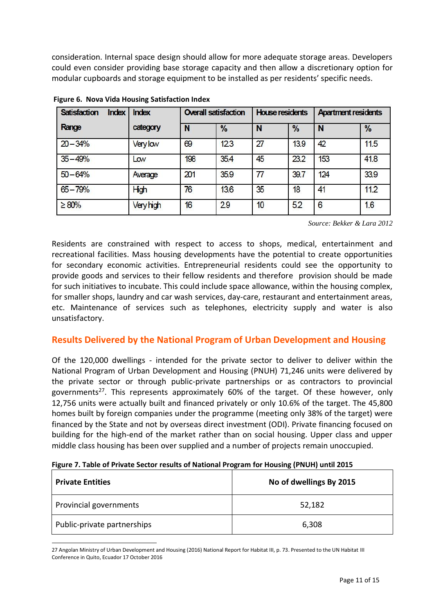consideration. Internal space design should allow for more adequate storage areas. Developers could even consider providing base storage capacity and then allow a discretionary option for modular cupboards and storage equipment to be installed as per residents' specific needs.

| <b>Satisfaction</b><br>Index | <b>Index</b> | <b>Overall satisfaction</b> |               | <b>House residents</b> |               | <b>Apartment residents</b> |               |
|------------------------------|--------------|-----------------------------|---------------|------------------------|---------------|----------------------------|---------------|
| Range                        | category     | N                           | $\frac{0}{0}$ | N                      | $\frac{0}{0}$ | N                          | $\frac{9}{6}$ |
| $20 - 34%$                   | Very low     | 69                          | 123           | 27                     | 13.9          | 42                         | 11.5          |
| $35 - 49%$                   | Low          | 198                         | 35.4          | 45                     | 23.2          | 153                        | 41.8          |
| $50 - 64%$                   | Average      | 201                         | 35.9          |                        | 39.7          | 124                        | 33.9          |
| $65 - 79%$                   | High         | 76                          | 13.6          | 35                     | 18            | 41                         | 11.2          |
| $\geq 80\%$                  | Very high    | 16                          | 29            | 10                     | 5.2           | 6                          | 1.6           |

**Figure 6. Nova Vida Housing Satisfaction Index**

 *Source: Bekker & Lara 2012*

Residents are constrained with respect to access to shops, medical, entertainment and recreational facilities. Mass housing developments have the potential to create opportunities for secondary economic activities. Entrepreneurial residents could see the opportunity to provide goods and services to their fellow residents and therefore provision should be made for such initiatives to incubate. This could include space allowance, within the housing complex, for smaller shops, laundry and car wash services, day-care, restaurant and entertainment areas, etc. Maintenance of services such as telephones, electricity supply and water is also unsatisfactory.

## **Results Delivered by the National Program of Urban Development and Housing**

Of the 120,000 dwellings - intended for the private sector to deliver to deliver within the National Program of Urban Development and Housing (PNUH) 71,246 units were delivered by the private sector or through public-private partnerships or as contractors to provincial governments<sup>27</sup>. This represents approximately 60% of the target. Of these however, only 12,756 units were actually built and financed privately or only 10.6% of the target. The 45,800 homes built by foreign companies under the programme (meeting only 38% of the target) were financed by the State and not by overseas direct investment (ODI). Private financing focused on building for the high-end of the market rather than on social housing. Upper class and upper middle class housing has been over supplied and a number of projects remain unoccupied.

|  |  | Figure 7. Table of Private Sector results of National Program for Housing (PNUH) until 2015 |  |  |  |
|--|--|---------------------------------------------------------------------------------------------|--|--|--|
|  |  |                                                                                             |  |  |  |

| <b>Private Entities</b>     | No of dwellings By 2015 |  |  |  |  |
|-----------------------------|-------------------------|--|--|--|--|
| Provincial governments      | 52,182                  |  |  |  |  |
| Public-private partnerships | 6,308                   |  |  |  |  |

<sup>27</sup> Angolan Ministry of Urban Development and Housing (2016) National Report for Habitat III, p. 73. Presented to the UN Habitat III Conference in Quito, Ecuador 17 October 2016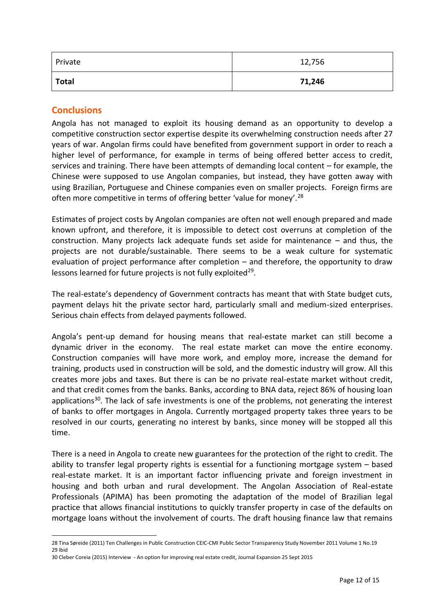| Private      | 12,756 |
|--------------|--------|
| <b>Total</b> | 71,246 |

# **Conclusions**

 $\overline{a}$ 

Angola has not managed to exploit its housing demand as an opportunity to develop a competitive construction sector expertise despite its overwhelming construction needs after 27 years of war. Angolan firms could have benefited from government support in order to reach a higher level of performance, for example in terms of being offered better access to credit, services and training. There have been attempts of demanding local content – for example, the Chinese were supposed to use Angolan companies, but instead, they have gotten away with using Brazilian, Portuguese and Chinese companies even on smaller projects. Foreign firms are often more competitive in terms of offering better 'value for money'.<sup>28</sup>

Estimates of project costs by Angolan companies are often not well enough prepared and made known upfront, and therefore, it is impossible to detect cost overruns at completion of the construction. Many projects lack adequate funds set aside for maintenance – and thus, the projects are not durable/sustainable. There seems to be a weak culture for systematic evaluation of project performance after completion – and therefore, the opportunity to draw lessons learned for future projects is not fully exploited<sup>29</sup>.

The real-estate's dependency of Government contracts has meant that with State budget cuts, payment delays hit the private sector hard, particularly small and medium-sized enterprises. Serious chain effects from delayed payments followed.

Angola's pent-up demand for housing means that real-estate market can still become a dynamic driver in the economy. The real estate market can move the entire economy. Construction companies will have more work, and employ more, increase the demand for training, products used in construction will be sold, and the domestic industry will grow. All this creates more jobs and taxes. But there is can be no private real-estate market without credit, and that credit comes from the banks. Banks, according to BNA data, reject 86% of housing loan applications $30$ . The lack of safe investments is one of the problems, not generating the interest of banks to offer mortgages in Angola. Currently mortgaged property takes three years to be resolved in our courts, generating no interest by banks, since money will be stopped all this time.

There is a need in Angola to create new guarantees for the protection of the right to credit. The ability to transfer legal property rights is essential for a functioning mortgage system – based real-estate market. It is an important factor influencing private and foreign investment in housing and both urban and rural development. The Angolan Association of Real-estate Professionals (APIMA) has been promoting the adaptation of the model of Brazilian legal practice that allows financial institutions to quickly transfer property in case of the defaults on mortgage loans without the involvement of courts. The draft housing finance law that remains

<sup>28</sup> Tina Søreide (2011) Ten Challenges in Public Construction CEIC-CMI Public Sector Transparency Study November 2011 Volume 1 No.19 29 Ibid

<sup>30</sup> Cleber Coreia (2015) Interview - An option for improving real estate credit, Journal Expansion 25 Sept 2015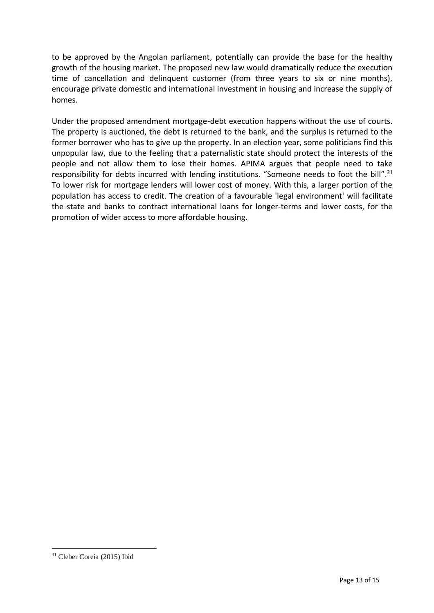to be approved by the Angolan parliament, potentially can provide the base for the healthy growth of the housing market. The proposed new law would dramatically reduce the execution time of cancellation and delinquent customer (from three years to six or nine months), encourage private domestic and international investment in housing and increase the supply of homes.

Under the proposed amendment mortgage-debt execution happens without the use of courts. The property is auctioned, the debt is returned to the bank, and the surplus is returned to the former borrower who has to give up the property. In an election year, some politicians find this unpopular law, due to the feeling that a paternalistic state should protect the interests of the people and not allow them to lose their homes. APIMA argues that people need to take responsibility for debts incurred with lending institutions. "Someone needs to foot the bill".<sup>31</sup> To lower risk for mortgage lenders will lower cost of money. With this, a larger portion of the population has access to credit. The creation of a favourable 'legal environment' will facilitate the state and banks to contract international loans for longer-terms and lower costs, for the promotion of wider access to more affordable housing.

<sup>31</sup> Cleber Coreia (2015) Ibid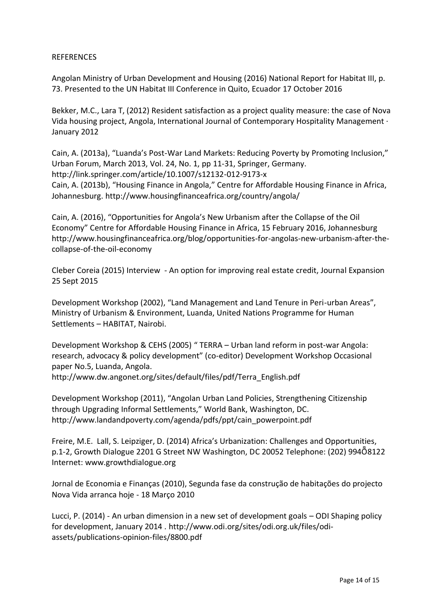#### REFERENCES

Angolan Ministry of Urban Development and Housing (2016) National Report for Habitat III, p. 73. Presented to the UN Habitat III Conference in Quito, Ecuador 17 October 2016

Bekker, M.C., Lara T, (2012) Resident satisfaction as a project quality measure: the case of Nova Vida housing project, Angola, International Journal of Contemporary Hospitality Management · January 2012

Cain, A. (2013a), "Luanda's Post-War Land Markets: Reducing Poverty by Promoting Inclusion," Urban Forum, March 2013, Vol. 24, No. 1, pp 11-31, Springer, Germany. <http://link.springer.com/article/10.1007/s12132-012-9173-x> Cain, A. (2013b), "Housing Finance in Angola," Centre for Affordable Housing Finance in Africa, Johannesburg. <http://www.housingfinanceafrica.org/country/angola/>

Cain, A. (2016), "Opportunities for Angola's New Urbanism after the Collapse of the Oil Economy" Centre for Affordable Housing Finance in Africa, 15 February 2016, Johannesburg [http://www.](http://www/)[housingfinanceafrica.org/blog/o](http://housingfinanceafrica.org/blog/)pportunities-for-angolas-new-urbanism-after-thecollapse-of-the-oil-economy

Cleber Coreia (2015) Interview - An option for improving real estate credit, Journal Expansion 25 Sept 2015

Development Workshop (2002), "Land Management and Land Tenure in Peri-urban Areas", Ministry of Urbanism & Environment, Luanda, United Nations Programme for Human Settlements – HABITAT, Nairobi.

Development Workshop & CEHS (2005) " TERRA – Urban land reform in post-war Angola: research, advocacy & policy development" (co-editor) Development Workshop Occasional paper No.5, Luanda, Angola.

[http://www.dw.angonet.org/sites/default/files/pdf/Terra\\_English.pdf](http://www.dw.angonet.org/sites/default/files/pdf/Terra_English.pdf)

Development Workshop (2011), "Angolan Urban Land Policies, Strengthening Citizenship through Upgrading Informal Settlements," World Bank, Washington, DC. [http://www.landandpoverty.com/agenda/pdfs/ppt/cain\\_powerpoint.pdf](http://www.landandpoverty.com/agenda/pdfs/ppt/cain_powerpoint.pdf)

Freire, M.E. Lall, S. Leipziger, D. (2014) Africa's Urbanization: Challenges and Opportunities, p.1-2, Growth Dialogue 2201 G Street NW Washington, DC 20052 Telephone: (202) 994Ȭ8122 Internet: [www.growthdialogue.org](http://www.growthdialogue.org/)

Jornal de Economia e Finanças (2010), Segunda fase da construção de habitações do projecto Nova Vida arranca hoje - 18 Março 2010

Lucci, P. (2014) - An urban dimension in a new set of development goals – ODI Shaping policy for development, January 2014 . [http://www.odi.org/sites/odi.org.uk/files/odi](http://www.odi.org/sites/odi.org.uk/files/odi-assets/publications-opinion-files/8800.pdf)[assets/publications-opinion-files/8800.pdf](http://www.odi.org/sites/odi.org.uk/files/odi-assets/publications-opinion-files/8800.pdf)